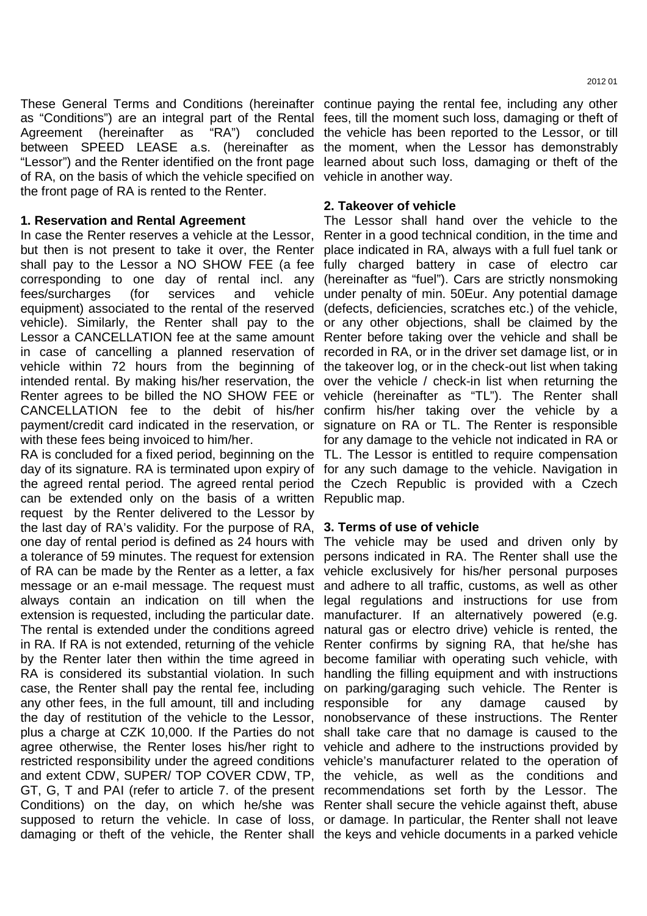These General Terms and Conditions (hereinafter continue paying the rental fee, including any other as "Conditions") are an integral part of the Rental fees, till the moment such loss, damaging or theft of Agreement (hereinafter as "RA") concluded the vehicle has been reported to the Lessor, or till between SPEED LEASE a.s. (hereinafter as the moment, when the Lessor has demonstrably "Lessor") and the Renter identified on the front page learned about such loss, damaging or theft of the of RA, on the basis of which the vehicle specified on vehicle in another way. the front page of RA is rented to the Renter.

## **1. Reservation and Rental Agreement**

In case the Renter reserves a vehicle at the Lessor, Renter in a good technical condition, in the time and but then is not present to take it over, the Renter place indicated in RA, always with a full fuel tank or shall pay to the Lessor a NO SHOW FEE (a fee fully charged battery in case of electro car corresponding to one day of rental incl. any (hereinafter as "fuel"). Cars are strictly nonsmoking fees/surcharges (for services and equipment) associated to the rental of the reserved (defects, deficiencies, scratches etc.) of the vehicle, vehicle). Similarly, the Renter shall pay to the or any other objections, shall be claimed by the Lessor a CANCELLATION fee at the same amount Renter before taking over the vehicle and shall be in case of cancelling a planned reservation of recorded in RA, or in the driver set damage list, or in vehicle within 72 hours from the beginning of the takeover log, or in the check-out list when taking intended rental. By making his/her reservation, the over the vehicle / check-in list when returning the Renter agrees to be billed the NO SHOW FEE or vehicle (hereinafter as "TL"). The Renter shall CANCELLATION fee to the debit of his/her confirm his/her taking over the vehicle by a payment/credit card indicated in the reservation, or signature on RA or TL. The Renter is responsible with these fees being invoiced to him/her.

RA is concluded for a fixed period, beginning on the TL. The Lessor is entitled to require compensation day of its signature. RA is terminated upon expiry of for any such damage to the vehicle. Navigation in the agreed rental period. The agreed rental period the Czech Republic is provided with a Czech can be extended only on the basis of a written Republic map. request by the Renter delivered to the Lessor by the last day of RA's validity. For the purpose of RA, **3. Terms of use of vehicle**  one day of rental period is defined as 24 hours with The vehicle may be used and driven only by a tolerance of 59 minutes. The request for extension persons indicated in RA. The Renter shall use the of RA can be made by the Renter as a letter, a fax vehicle exclusively for his/her personal purposes message or an e-mail message. The request must and adhere to all traffic, customs, as well as other always contain an indication on till when the legal regulations and instructions for use from extension is requested, including the particular date. manufacturer. If an alternatively powered (e.g. The rental is extended under the conditions agreed natural gas or electro drive) vehicle is rented, the in RA. If RA is not extended, returning of the vehicle Renter confirms by signing RA, that he/she has by the Renter later then within the time agreed in become familiar with operating such vehicle, with RA is considered its substantial violation. In such handling the filling equipment and with instructions case, the Renter shall pay the rental fee, including on parking/garaging such vehicle. The Renter is any other fees, in the full amount, till and including responsible for any damage caused by the day of restitution of the vehicle to the Lessor, nonobservance of these instructions. The Renter plus a charge at CZK 10,000. If the Parties do not shall take care that no damage is caused to the agree otherwise, the Renter loses his/her right to vehicle and adhere to the instructions provided by restricted responsibility under the agreed conditions vehicle's manufacturer related to the operation of and extent CDW, SUPER/ TOP COVER CDW, TP, the vehicle, as well as the conditions and GT, G, T and PAI (refer to article 7. of the present recommendations set forth by the Lessor. The Conditions) on the day, on which he/she was Renter shall secure the vehicle against theft, abuse supposed to return the vehicle. In case of loss, or damage. In particular, the Renter shall not leave damaging or theft of the vehicle, the Renter shall the keys and vehicle documents in a parked vehicle

# **2. Takeover of vehicle**

The Lessor shall hand over the vehicle to the vehicle under penalty of min. 50Eur. Any potential damage for any damage to the vehicle not indicated in RA or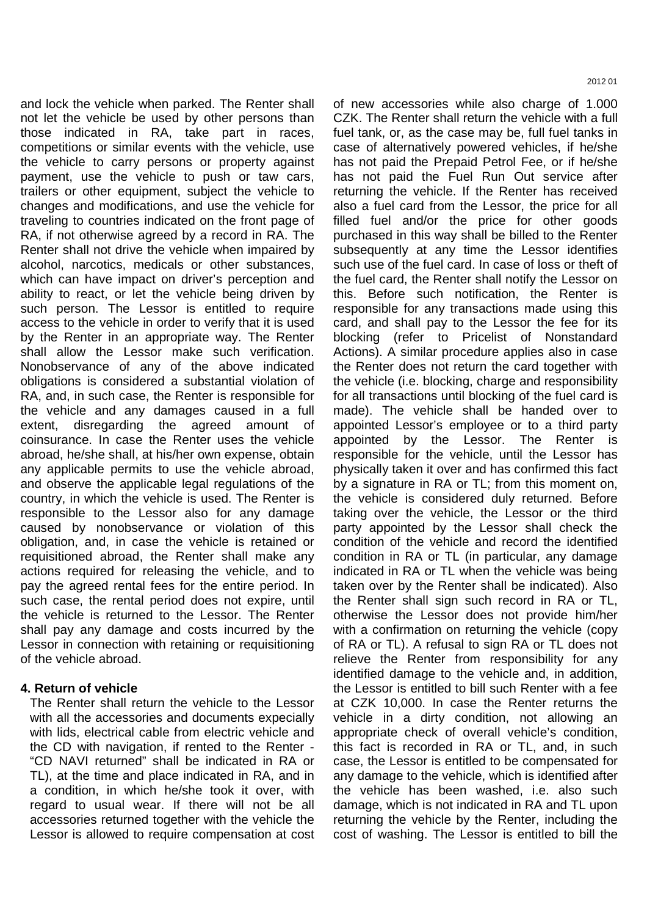and lock the vehicle when parked. The Renter shall not let the vehicle be used by other persons than those indicated in RA, take part in races, competitions or similar events with the vehicle, use the vehicle to carry persons or property against payment, use the vehicle to push or taw cars, trailers or other equipment, subject the vehicle to changes and modifications, and use the vehicle for traveling to countries indicated on the front page of RA, if not otherwise agreed by a record in RA. The Renter shall not drive the vehicle when impaired by alcohol, narcotics, medicals or other substances, which can have impact on driver's perception and ability to react, or let the vehicle being driven by such person. The Lessor is entitled to require access to the vehicle in order to verify that it is used by the Renter in an appropriate way. The Renter shall allow the Lessor make such verification. Nonobservance of any of the above indicated obligations is considered a substantial violation of RA, and, in such case, the Renter is responsible for the vehicle and any damages caused in a full extent, disregarding the agreed amount of coinsurance. In case the Renter uses the vehicle abroad, he/she shall, at his/her own expense, obtain any applicable permits to use the vehicle abroad, and observe the applicable legal regulations of the country, in which the vehicle is used. The Renter is responsible to the Lessor also for any damage caused by nonobservance or violation of this obligation, and, in case the vehicle is retained or requisitioned abroad, the Renter shall make any actions required for releasing the vehicle, and to pay the agreed rental fees for the entire period. In such case, the rental period does not expire, until the vehicle is returned to the Lessor. The Renter shall pay any damage and costs incurred by the Lessor in connection with retaining or requisitioning of the vehicle abroad.

### **4. Return of vehicle**

The Renter shall return the vehicle to the Lessor with all the accessories and documents expecially with lids, electrical cable from electric vehicle and the CD with navigation, if rented to the Renter - "CD NAVI returned" shall be indicated in RA or TL), at the time and place indicated in RA, and in a condition, in which he/she took it over, with regard to usual wear. If there will not be all accessories returned together with the vehicle the Lessor is allowed to require compensation at cost of new accessories while also charge of 1.000 CZK. The Renter shall return the vehicle with a full fuel tank, or, as the case may be, full fuel tanks in case of alternatively powered vehicles, if he/she has not paid the Prepaid Petrol Fee, or if he/she has not paid the Fuel Run Out service after returning the vehicle. If the Renter has received also a fuel card from the Lessor, the price for all filled fuel and/or the price for other goods purchased in this way shall be billed to the Renter subsequently at any time the Lessor identifies such use of the fuel card. In case of loss or theft of the fuel card, the Renter shall notify the Lessor on this. Before such notification, the Renter is responsible for any transactions made using this card, and shall pay to the Lessor the fee for its blocking (refer to Pricelist of Nonstandard Actions). A similar procedure applies also in case the Renter does not return the card together with the vehicle (i.e. blocking, charge and responsibility for all transactions until blocking of the fuel card is made). The vehicle shall be handed over to appointed Lessor's employee or to a third party appointed by the Lessor. The Renter is responsible for the vehicle, until the Lessor has physically taken it over and has confirmed this fact by a signature in RA or TL; from this moment on, the vehicle is considered duly returned. Before taking over the vehicle, the Lessor or the third party appointed by the Lessor shall check the condition of the vehicle and record the identified condition in RA or TL (in particular, any damage indicated in RA or TL when the vehicle was being taken over by the Renter shall be indicated). Also the Renter shall sign such record in RA or TL, otherwise the Lessor does not provide him/her with a confirmation on returning the vehicle (copy of RA or TL). A refusal to sign RA or TL does not relieve the Renter from responsibility for any identified damage to the vehicle and, in addition, the Lessor is entitled to bill such Renter with a fee at CZK 10,000. In case the Renter returns the vehicle in a dirty condition, not allowing an appropriate check of overall vehicle's condition, this fact is recorded in RA or TL, and, in such case, the Lessor is entitled to be compensated for any damage to the vehicle, which is identified after the vehicle has been washed, i.e. also such damage, which is not indicated in RA and TL upon returning the vehicle by the Renter, including the cost of washing. The Lessor is entitled to bill the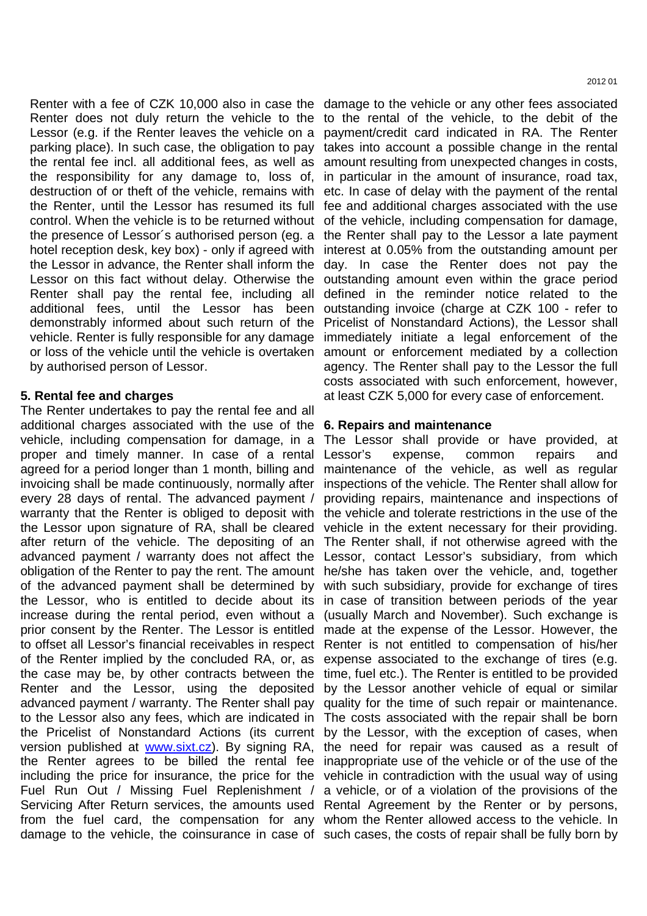hotel reception desk, key box) - only if agreed with the Lessor in advance, the Renter shall inform the Lessor on this fact without delay. Otherwise the Renter shall pay the rental fee, including all additional fees, until the Lessor has been by authorised person of Lessor.

# **5. Rental fee and charges**

The Renter undertakes to pay the rental fee and all additional charges associated with the use of the **6. Repairs and maintenance**  vehicle, including compensation for damage, in a The Lessor shall provide or have provided, at proper and timely manner. In case of a rental agreed for a period longer than 1 month, billing and maintenance of the vehicle, as well as regular invoicing shall be made continuously, normally after inspections of the vehicle. The Renter shall allow for every 28 days of rental. The advanced payment / providing repairs, maintenance and inspections of warranty that the Renter is obliged to deposit with the vehicle and tolerate restrictions in the use of the the Lessor upon signature of RA, shall be cleared vehicle in the extent necessary for their providing. after return of the vehicle. The depositing of an The Renter shall, if not otherwise agreed with the advanced payment / warranty does not affect the Lessor, contact Lessor's subsidiary, from which obligation of the Renter to pay the rent. The amount he/she has taken over the vehicle, and, together of the advanced payment shall be determined by with such subsidiary, provide for exchange of tires the Lessor, who is entitled to decide about its in case of transition between periods of the year increase during the rental period, even without a (usually March and November). Such exchange is prior consent by the Renter. The Lessor is entitled made at the expense of the Lessor. However, the to offset all Lessor's financial receivables in respect Renter is not entitled to compensation of his/her of the Renter implied by the concluded RA, or, as expense associated to the exchange of tires (e.g. the case may be, by other contracts between the time, fuel etc.). The Renter is entitled to be provided Renter and the Lessor, using the deposited by the Lessor another vehicle of equal or similar advanced payment / warranty. The Renter shall pay quality for the time of such repair or maintenance. to the Lessor also any fees, which are indicated in The costs associated with the repair shall be born the Pricelist of Nonstandard Actions (its current by the Lessor, with the exception of cases, when version published at **www.sixt.cz**). By signing RA, the need for repair was caused as a result of the Renter agrees to be billed the rental fee inappropriate use of the vehicle or of the use of the including the price for insurance, the price for the vehicle in contradiction with the usual way of using Fuel Run Out / Missing Fuel Replenishment / a vehicle, or of a violation of the provisions of the Servicing After Return services, the amounts used Rental Agreement by the Renter or by persons, from the fuel card, the compensation for any whom the Renter allowed access to the vehicle. In damage to the vehicle, the coinsurance in case of such cases, the costs of repair shall be fully born by

Renter with a fee of CZK 10,000 also in case the damage to the vehicle or any other fees associated Renter does not duly return the vehicle to the to the rental of the vehicle, to the debit of the Lessor (e.g. if the Renter leaves the vehicle on a payment/credit card indicated in RA. The Renter parking place). In such case, the obligation to pay takes into account a possible change in the rental the rental fee incl. all additional fees, as well as amount resulting from unexpected changes in costs, the responsibility for any damage to, loss of, in particular in the amount of insurance, road tax, destruction of or theft of the vehicle, remains with etc. In case of delay with the payment of the rental the Renter, until the Lessor has resumed its full fee and additional charges associated with the use control. When the vehicle is to be returned without of the vehicle, including compensation for damage, the presence of Lessor's authorised person (eg. a the Renter shall pay to the Lessor a late payment demonstrably informed about such return of the Pricelist of Nonstandard Actions), the Lessor shall vehicle. Renter is fully responsible for any damage immediately initiate a legal enforcement of the or loss of the vehicle until the vehicle is overtaken amount or enforcement mediated by a collection interest at 0.05% from the outstanding amount per day. In case the Renter does not pay the outstanding amount even within the grace period defined in the reminder notice related to the outstanding invoice (charge at CZK 100 - refer to agency. The Renter shall pay to the Lessor the full costs associated with such enforcement, however, at least CZK 5,000 for every case of enforcement.

expense, common repairs and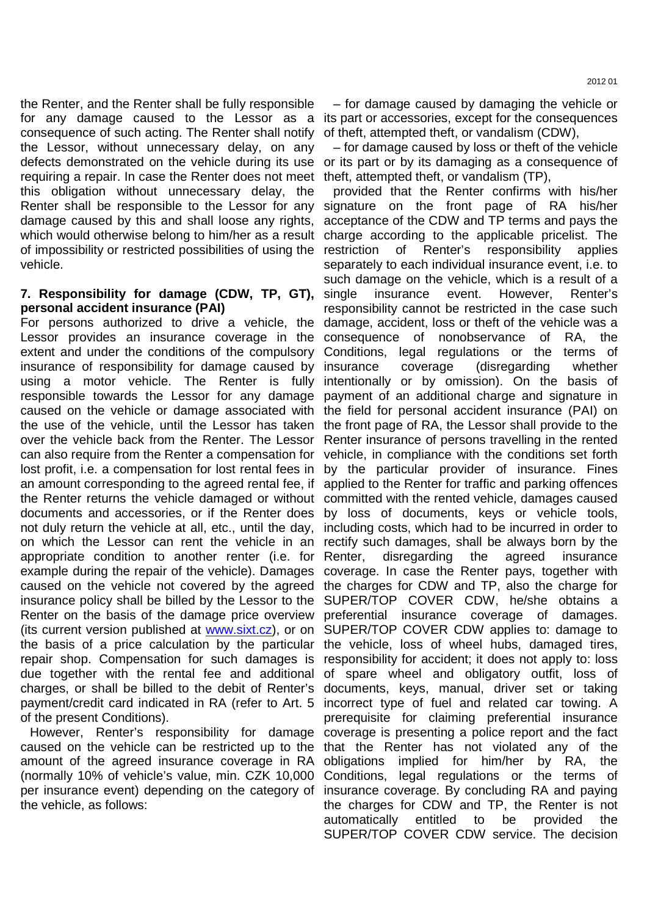the Renter, and the Renter shall be fully responsible for any damage caused to the Lessor as a its part or accessories, except for the consequences consequence of such acting. The Renter shall notify the Lessor, without unnecessary delay, on any defects demonstrated on the vehicle during its use requiring a repair. In case the Renter does not meet this obligation without unnecessary delay, the Renter shall be responsible to the Lessor for any damage caused by this and shall loose any rights, which would otherwise belong to him/her as a result of impossibility or restricted possibilities of using the vehicle.

# **7. Responsibility for damage (CDW, TP, GT), personal accident insurance (PAI)**

For persons authorized to drive a vehicle, the damage, accident, loss or theft of the vehicle was a Lessor provides an insurance coverage in the extent and under the conditions of the compulsory Conditions, legal regulations or the terms of insurance of responsibility for damage caused by using a motor vehicle. The Renter is fully intentionally or by omission). On the basis of responsible towards the Lessor for any damage payment of an additional charge and signature in caused on the vehicle or damage associated with the field for personal accident insurance (PAI) on the use of the vehicle, until the Lessor has taken the front page of RA, the Lessor shall provide to the over the vehicle back from the Renter. The Lessor Renter insurance of persons travelling in the rented can also require from the Renter a compensation for vehicle, in compliance with the conditions set forth lost profit, i.e. a compensation for lost rental fees in by the particular provider of insurance. Fines an amount corresponding to the agreed rental fee, if applied to the Renter for traffic and parking offences the Renter returns the vehicle damaged or without committed with the rented vehicle, damages caused documents and accessories, or if the Renter does not duly return the vehicle at all, etc., until the day, on which the Lessor can rent the vehicle in an rectify such damages, shall be always born by the appropriate condition to another renter (i.e. for example during the repair of the vehicle). Damages coverage. In case the Renter pays, together with caused on the vehicle not covered by the agreed the charges for CDW and TP, also the charge for insurance policy shall be billed by the Lessor to the SUPER/TOP COVER CDW, he/she obtains a Renter on the basis of the damage price overview preferential insurance coverage of damages. (its current version published at **www.sixt.cz**), or on SUPER/TOP COVER CDW applies to: damage to the basis of a price calculation by the particular the vehicle, loss of wheel hubs, damaged tires, repair shop. Compensation for such damages is responsibility for accident; it does not apply to: loss due together with the rental fee and additional of spare wheel and obligatory outfit, loss of charges, or shall be billed to the debit of Renter's payment/credit card indicated in RA (refer to Art. 5 of the present Conditions).

However, Renter's responsibility for damage caused on the vehicle can be restricted up to the amount of the agreed insurance coverage in RA (normally 10% of vehicle's value, min. CZK 10,000 per insurance event) depending on the category of the vehicle, as follows:

– for damage caused by damaging the vehicle or

of theft, attempted theft, or vandalism (CDW), – for damage caused by loss or theft of the vehicle or its part or by its damaging as a consequence of theft, attempted theft, or vandalism (TP),

provided that the Renter confirms with his/her signature on the front page of RA his/her acceptance of the CDW and TP terms and pays the charge according to the applicable pricelist. The restriction of Renter's responsibility applies separately to each individual insurance event, i.e. to such damage on the vehicle, which is a result of a single insurance event. However, Renter's responsibility cannot be restricted in the case such consequence of nonobservance of RA, the coverage (disregarding whether by loss of documents, keys or vehicle tools, including costs, which had to be incurred in order to disregarding the agreed insurance documents, keys, manual, driver set or taking incorrect type of fuel and related car towing. A prerequisite for claiming preferential insurance coverage is presenting a police report and the fact that the Renter has not violated any of the obligations implied for him/her by RA, the Conditions, legal regulations or the terms of insurance coverage. By concluding RA and paying the charges for CDW and TP, the Renter is not automatically entitled to be provided the SUPER/TOP COVER CDW service. The decision